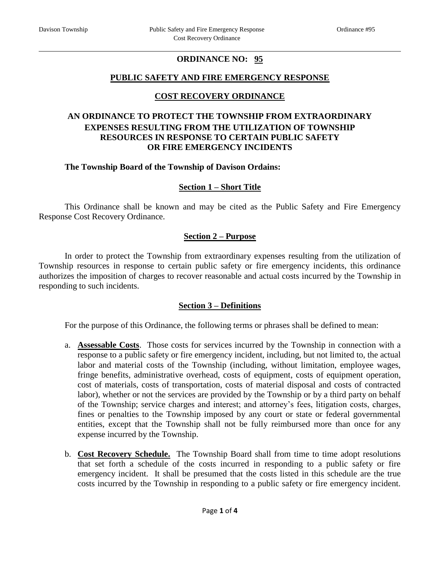# **ORDINANCE NO: 95**

## **PUBLIC SAFETY AND FIRE EMERGENCY RESPONSE**

# **COST RECOVERY ORDINANCE**

## **AN ORDINANCE TO PROTECT THE TOWNSHIP FROM EXTRAORDINARY EXPENSES RESULTING FROM THE UTILIZATION OF TOWNSHIP RESOURCES IN RESPONSE TO CERTAIN PUBLIC SAFETY OR FIRE EMERGENCY INCIDENTS**

#### **The Township Board of the Township of Davison Ordains:**

#### **Section 1 – Short Title**

This Ordinance shall be known and may be cited as the Public Safety and Fire Emergency Response Cost Recovery Ordinance.

#### **Section 2 – Purpose**

In order to protect the Township from extraordinary expenses resulting from the utilization of Township resources in response to certain public safety or fire emergency incidents, this ordinance authorizes the imposition of charges to recover reasonable and actual costs incurred by the Township in responding to such incidents.

#### **Section 3 – Definitions**

For the purpose of this Ordinance, the following terms or phrases shall be defined to mean:

- a. **Assessable Costs**. Those costs for services incurred by the Township in connection with a response to a public safety or fire emergency incident, including, but not limited to, the actual labor and material costs of the Township (including, without limitation, employee wages, fringe benefits, administrative overhead, costs of equipment, costs of equipment operation, cost of materials, costs of transportation, costs of material disposal and costs of contracted labor), whether or not the services are provided by the Township or by a third party on behalf of the Township; service charges and interest; and attorney's fees, litigation costs, charges, fines or penalties to the Township imposed by any court or state or federal governmental entities, except that the Township shall not be fully reimbursed more than once for any expense incurred by the Township.
- b. **Cost Recovery Schedule.** The Township Board shall from time to time adopt resolutions that set forth a schedule of the costs incurred in responding to a public safety or fire emergency incident. It shall be presumed that the costs listed in this schedule are the true costs incurred by the Township in responding to a public safety or fire emergency incident.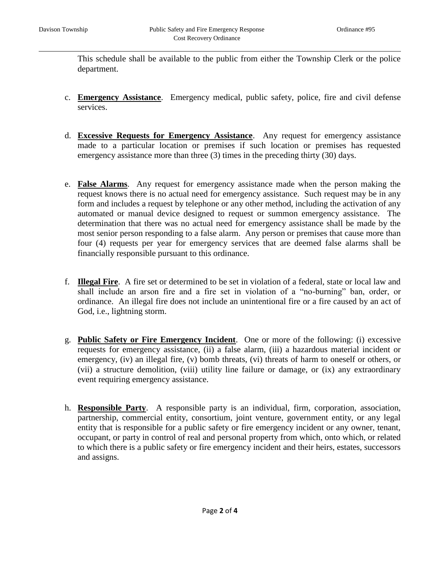This schedule shall be available to the public from either the Township Clerk or the police department.

- c. **Emergency Assistance**. Emergency medical, public safety, police, fire and civil defense services.
- d. **Excessive Requests for Emergency Assistance**. Any request for emergency assistance made to a particular location or premises if such location or premises has requested emergency assistance more than three (3) times in the preceding thirty (30) days.
- e. **False Alarms**. Any request for emergency assistance made when the person making the request knows there is no actual need for emergency assistance. Such request may be in any form and includes a request by telephone or any other method, including the activation of any automated or manual device designed to request or summon emergency assistance. The determination that there was no actual need for emergency assistance shall be made by the most senior person responding to a false alarm. Any person or premises that cause more than four (4) requests per year for emergency services that are deemed false alarms shall be financially responsible pursuant to this ordinance.
- f. **Illegal Fire**. A fire set or determined to be set in violation of a federal, state or local law and shall include an arson fire and a fire set in violation of a "no-burning" ban, order, or ordinance. An illegal fire does not include an unintentional fire or a fire caused by an act of God, i.e., lightning storm.
- g. **Public Safety or Fire Emergency Incident**. One or more of the following: (i) excessive requests for emergency assistance, (ii) a false alarm, (iii) a hazardous material incident or emergency, (iv) an illegal fire, (v) bomb threats, (vi) threats of harm to oneself or others, or (vii) a structure demolition, (viii) utility line failure or damage, or (ix) any extraordinary event requiring emergency assistance.
- h. **Responsible Party**. A responsible party is an individual, firm, corporation, association, partnership, commercial entity, consortium, joint venture, government entity, or any legal entity that is responsible for a public safety or fire emergency incident or any owner, tenant, occupant, or party in control of real and personal property from which, onto which, or related to which there is a public safety or fire emergency incident and their heirs, estates, successors and assigns.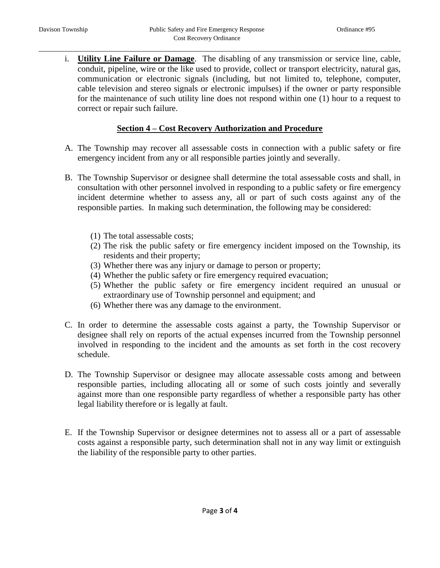i. **Utility Line Failure or Damage**. The disabling of any transmission or service line, cable, conduit, pipeline, wire or the like used to provide, collect or transport electricity, natural gas, communication or electronic signals (including, but not limited to, telephone, computer, cable television and stereo signals or electronic impulses) if the owner or party responsible for the maintenance of such utility line does not respond within one (1) hour to a request to correct or repair such failure.

#### **Section 4 – Cost Recovery Authorization and Procedure**

- A. The Township may recover all assessable costs in connection with a public safety or fire emergency incident from any or all responsible parties jointly and severally.
- B. The Township Supervisor or designee shall determine the total assessable costs and shall, in consultation with other personnel involved in responding to a public safety or fire emergency incident determine whether to assess any, all or part of such costs against any of the responsible parties. In making such determination, the following may be considered:
	- (1) The total assessable costs;
	- (2) The risk the public safety or fire emergency incident imposed on the Township, its residents and their property;
	- (3) Whether there was any injury or damage to person or property;
	- (4) Whether the public safety or fire emergency required evacuation;
	- (5) Whether the public safety or fire emergency incident required an unusual or extraordinary use of Township personnel and equipment; and
	- (6) Whether there was any damage to the environment.
- C. In order to determine the assessable costs against a party, the Township Supervisor or designee shall rely on reports of the actual expenses incurred from the Township personnel involved in responding to the incident and the amounts as set forth in the cost recovery schedule.
- D. The Township Supervisor or designee may allocate assessable costs among and between responsible parties, including allocating all or some of such costs jointly and severally against more than one responsible party regardless of whether a responsible party has other legal liability therefore or is legally at fault.
- E. If the Township Supervisor or designee determines not to assess all or a part of assessable costs against a responsible party, such determination shall not in any way limit or extinguish the liability of the responsible party to other parties.